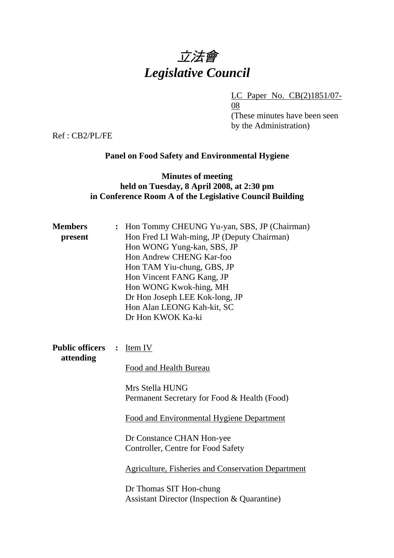# 立法會 *Legislative Council*

LC Paper No. CB(2)1851/07-

08 (These minutes have been seen by the Administration)

Ref : CB2/PL/FE

# **Panel on Food Safety and Environmental Hygiene**

# **Minutes of meeting held on Tuesday, 8 April 2008, at 2:30 pm in Conference Room A of the Legislative Council Building**

| <b>Members</b><br>present           |                | : Hon Tommy CHEUNG Yu-yan, SBS, JP (Chairman)<br>Hon Fred LI Wah-ming, JP (Deputy Chairman)<br>Hon WONG Yung-kan, SBS, JP<br>Hon Andrew CHENG Kar-foo<br>Hon TAM Yiu-chung, GBS, JP<br>Hon Vincent FANG Kang, JP<br>Hon WONG Kwok-hing, MH<br>Dr Hon Joseph LEE Kok-long, JP<br>Hon Alan LEONG Kah-kit, SC<br>Dr Hon KWOK Ka-ki |
|-------------------------------------|----------------|---------------------------------------------------------------------------------------------------------------------------------------------------------------------------------------------------------------------------------------------------------------------------------------------------------------------------------|
| <b>Public officers</b><br>attending | $\ddot{\cdot}$ | Item IV<br>Food and Health Bureau                                                                                                                                                                                                                                                                                               |
|                                     |                | Mrs Stella HUNG<br>Permanent Secretary for Food & Health (Food)                                                                                                                                                                                                                                                                 |
|                                     |                | Food and Environmental Hygiene Department                                                                                                                                                                                                                                                                                       |
|                                     |                | Dr Constance CHAN Hon-yee<br>Controller, Centre for Food Safety                                                                                                                                                                                                                                                                 |
|                                     |                | <b>Agriculture, Fisheries and Conservation Department</b>                                                                                                                                                                                                                                                                       |
|                                     |                | Dr Thomas SIT Hon-chung<br><b>Assistant Director (Inspection &amp; Quarantine)</b>                                                                                                                                                                                                                                              |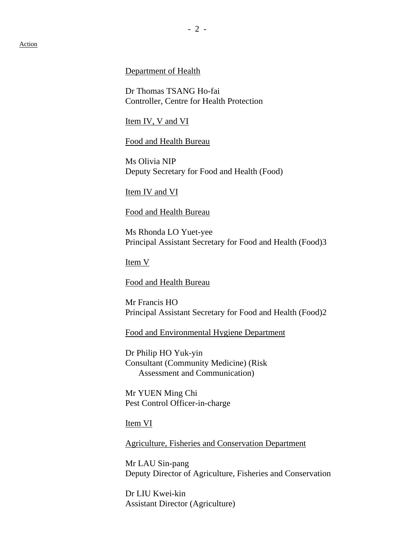Department of Health

Dr Thomas TSANG Ho-fai Controller, Centre for Health Protection

Item IV, V and VI

Food and Health Bureau

Ms Olivia NIP Deputy Secretary for Food and Health (Food)

Item IV and VI

Food and Health Bureau

Ms Rhonda LO Yuet-yee Principal Assistant Secretary for Food and Health (Food)3

Item V

Food and Health Bureau

Mr Francis HO Principal Assistant Secretary for Food and Health (Food)2

Food and Environmental Hygiene Department

Dr Philip HO Yuk-yin Consultant (Community Medicine) (Risk Assessment and Communication)

Mr YUEN Ming Chi Pest Control Officer-in-charge

Item VI

Agriculture, Fisheries and Conservation Department

Mr LAU Sin-pang Deputy Director of Agriculture, Fisheries and Conservation

Dr LIU Kwei-kin Assistant Director (Agriculture)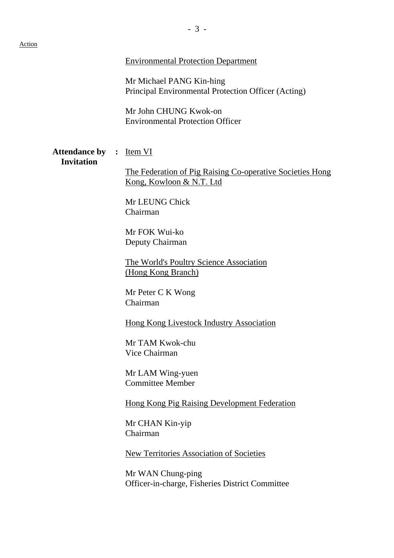#### Environmental Protection Department

Mr Michael PANG Kin-hing Principal Environmental Protection Officer (Acting)

Mr John CHUNG Kwok-on Environmental Protection Officer

#### Attendance by : Item VI **Invitation**

The Federation of Pig Raising Co-operative Societies Hong Kong, Kowloon & N.T. Ltd

Mr LEUNG Chick Chairman

Mr FOK Wui-ko Deputy Chairman

The World's Poultry Science Association (Hong Kong Branch)

Mr Peter C K Wong Chairman

Hong Kong Livestock Industry Association

Mr TAM Kwok-chu Vice Chairman

Mr LAM Wing-yuen Committee Member

Hong Kong Pig Raising Development Federation

Mr CHAN Kin-yip Chairman

New Territories Association of Societies

Mr WAN Chung-ping Officer-in-charge, Fisheries District Committee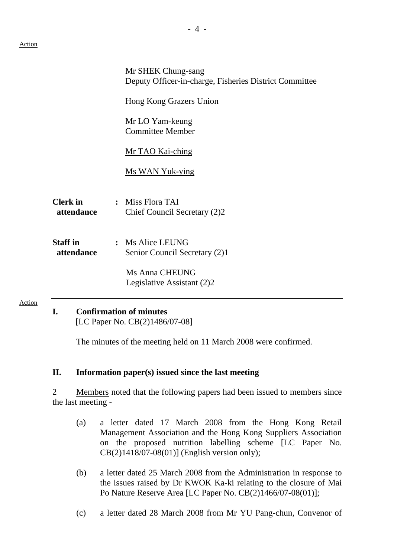Action

|                               | Mr SHEK Chung-sang<br>Deputy Officer-in-charge, Fisheries District Committee |
|-------------------------------|------------------------------------------------------------------------------|
|                               | <b>Hong Kong Grazers Union</b>                                               |
|                               | Mr LO Yam-keung<br><b>Committee Member</b>                                   |
|                               | Mr TAO Kai-ching                                                             |
|                               | <b>Ms WAN Yuk-ying</b>                                                       |
| <b>Clerk</b> in<br>attendance | Miss Flora TAI<br>$\ddot{\cdot}$<br>Chief Council Secretary (2)2             |
| <b>Staff</b> in<br>attendance | <b>Ms Alice LEUNG</b><br>$\ddot{\cdot}$<br>Senior Council Secretary (2)1     |
|                               | Ms Anna CHEUNG<br>Legislative Assistant (2)2                                 |
|                               | Confirmation of minutes                                                      |

# **I. Confirmation of minutes**

[LC Paper No. CB(2)1486/07-08]

The minutes of the meeting held on 11 March 2008 were confirmed.

# **II. Information paper(s) issued since the last meeting**

2 Members noted that the following papers had been issued to members since the last meeting -

- (a) a letter dated 17 March 2008 from the Hong Kong Retail Management Association and the Hong Kong Suppliers Association on the proposed nutrition labelling scheme [LC Paper No. CB(2)1418/07-08(01)] (English version only);
- (b) a letter dated 25 March 2008 from the Administration in response to the issues raised by Dr KWOK Ka-ki relating to the closure of Mai Po Nature Reserve Area [LC Paper No. CB(2)1466/07-08(01)];
- (c) a letter dated 28 March 2008 from Mr YU Pang-chun, Convenor of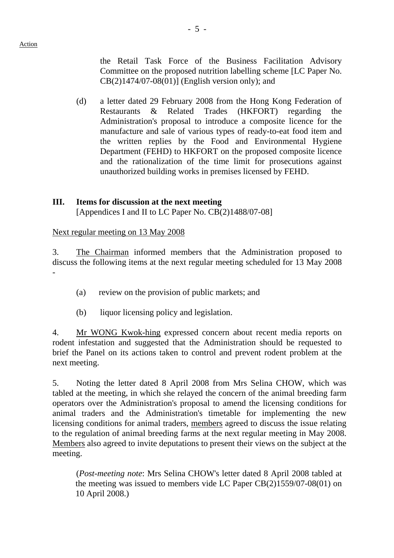the Retail Task Force of the Business Facilitation Advisory Committee on the proposed nutrition labelling scheme [LC Paper No. CB(2)1474/07-08(01)] (English version only); and

(d) a letter dated 29 February 2008 from the Hong Kong Federation of Restaurants & Related Trades (HKFORT) regarding the Administration's proposal to introduce a composite licence for the manufacture and sale of various types of ready-to-eat food item and the written replies by the Food and Environmental Hygiene Department (FEHD) to HKFORT on the proposed composite licence and the rationalization of the time limit for prosecutions against unauthorized building works in premises licensed by FEHD.

#### **III. Items for discussion at the next meeting**

[Appendices I and II to LC Paper No. CB(2)1488/07-08]

Next regular meeting on 13 May 2008

3. The Chairman informed members that the Administration proposed to discuss the following items at the next regular meeting scheduled for 13 May 2008 -

- (a) review on the provision of public markets; and
- (b) liquor licensing policy and legislation.

4. Mr WONG Kwok-hing expressed concern about recent media reports on rodent infestation and suggested that the Administration should be requested to brief the Panel on its actions taken to control and prevent rodent problem at the next meeting.

5. Noting the letter dated 8 April 2008 from Mrs Selina CHOW, which was tabled at the meeting, in which she relayed the concern of the animal breeding farm operators over the Administration's proposal to amend the licensing conditions for animal traders and the Administration's timetable for implementing the new licensing conditions for animal traders, members agreed to discuss the issue relating to the regulation of animal breeding farms at the next regular meeting in May 2008. Members also agreed to invite deputations to present their views on the subject at the meeting.

 (*Post-meeting note*: Mrs Selina CHOW's letter dated 8 April 2008 tabled at the meeting was issued to members vide LC Paper CB(2)1559/07-08(01) on 10 April 2008.)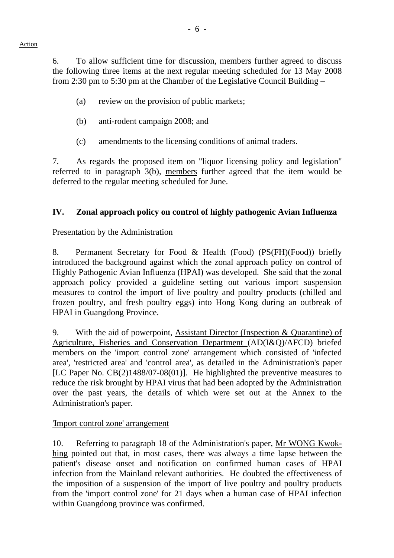6. To allow sufficient time for discussion, members further agreed to discuss the following three items at the next regular meeting scheduled for 13 May 2008 from 2:30 pm to 5:30 pm at the Chamber of the Legislative Council Building –

- (a) review on the provision of public markets;
- (b) anti-rodent campaign 2008; and
- (c) amendments to the licensing conditions of animal traders.

7. As regards the proposed item on "liquor licensing policy and legislation" referred to in paragraph 3(b), members further agreed that the item would be deferred to the regular meeting scheduled for June.

# **IV. Zonal approach policy on control of highly pathogenic Avian Influenza**

# Presentation by the Administration

8. Permanent Secretary for Food & Health (Food) (PS(FH)(Food)) briefly introduced the background against which the zonal approach policy on control of Highly Pathogenic Avian Influenza (HPAI) was developed. She said that the zonal approach policy provided a guideline setting out various import suspension measures to control the import of live poultry and poultry products (chilled and frozen poultry, and fresh poultry eggs) into Hong Kong during an outbreak of HPAI in Guangdong Province.

9. With the aid of powerpoint, Assistant Director (Inspection & Quarantine) of Agriculture, Fisheries and Conservation Department (AD(I&Q)/AFCD) briefed members on the 'import control zone' arrangement which consisted of 'infected area', 'restricted area' and 'control area', as detailed in the Administration's paper [LC Paper No. CB(2)1488/07-08(01)]. He highlighted the preventive measures to reduce the risk brought by HPAI virus that had been adopted by the Administration over the past years, the details of which were set out at the Annex to the Administration's paper.

# 'Import control zone' arrangement

10. Referring to paragraph 18 of the Administration's paper, Mr WONG Kwokhing pointed out that, in most cases, there was always a time lapse between the patient's disease onset and notification on confirmed human cases of HPAI infection from the Mainland relevant authorities. He doubted the effectiveness of the imposition of a suspension of the import of live poultry and poultry products from the 'import control zone' for 21 days when a human case of HPAI infection within Guangdong province was confirmed.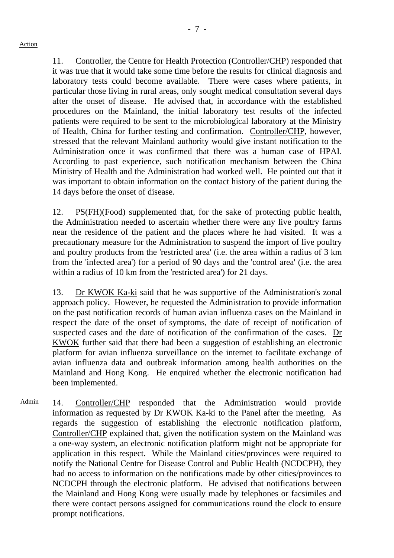11. Controller, the Centre for Health Protection (Controller/CHP) responded that it was true that it would take some time before the results for clinical diagnosis and laboratory tests could become available. There were cases where patients, in particular those living in rural areas, only sought medical consultation several days after the onset of disease. He advised that, in accordance with the established procedures on the Mainland, the initial laboratory test results of the infected patients were required to be sent to the microbiological laboratory at the Ministry of Health, China for further testing and confirmation. Controller/CHP, however, stressed that the relevant Mainland authority would give instant notification to the Administration once it was confirmed that there was a human case of HPAI. According to past experience, such notification mechanism between the China Ministry of Health and the Administration had worked well. He pointed out that it was important to obtain information on the contact history of the patient during the 14 days before the onset of disease.

12. PS(FH)(Food) supplemented that, for the sake of protecting public health, the Administration needed to ascertain whether there were any live poultry farms near the residence of the patient and the places where he had visited. It was a precautionary measure for the Administration to suspend the import of live poultry and poultry products from the 'restricted area' (i.e. the area within a radius of 3 km from the 'infected area') for a period of 90 days and the 'control area' (i.e. the area within a radius of 10 km from the 'restricted area') for 21 days.

13. Dr KWOK Ka-ki said that he was supportive of the Administration's zonal approach policy. However, he requested the Administration to provide information on the past notification records of human avian influenza cases on the Mainland in respect the date of the onset of symptoms, the date of receipt of notification of suspected cases and the date of notification of the confirmation of the cases. Dr KWOK further said that there had been a suggestion of establishing an electronic platform for avian influenza surveillance on the internet to facilitate exchange of avian influenza data and outbreak information among health authorities on the Mainland and Hong Kong. He enquired whether the electronic notification had been implemented.

Admin 14. Controller/CHP responded that the Administration would provide information as requested by Dr KWOK Ka-ki to the Panel after the meeting. As regards the suggestion of establishing the electronic notification platform, Controller/CHP explained that, given the notification system on the Mainland was a one-way system, an electronic notification platform might not be appropriate for application in this respect. While the Mainland cities/provinces were required to notify the National Centre for Disease Control and Public Health (NCDCPH), they had no access to information on the notifications made by other cities/provinces to NCDCPH through the electronic platform. He advised that notifications between the Mainland and Hong Kong were usually made by telephones or facsimiles and there were contact persons assigned for communications round the clock to ensure prompt notifications.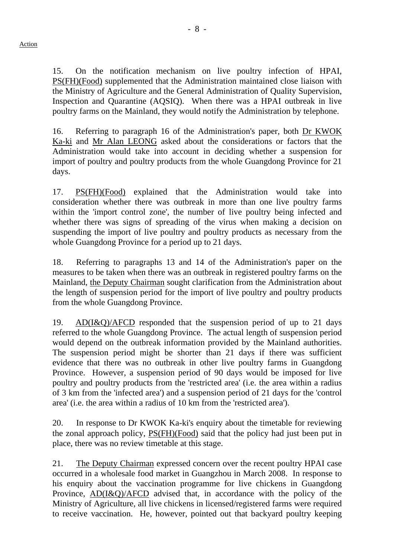15. On the notification mechanism on live poultry infection of HPAI, PS(FH)(Food) supplemented that the Administration maintained close liaison with the Ministry of Agriculture and the General Administration of Quality Supervision, Inspection and Quarantine (AQSIQ). When there was a HPAI outbreak in live poultry farms on the Mainland, they would notify the Administration by telephone.

16. Referring to paragraph 16 of the Administration's paper, both Dr KWOK Ka-ki and Mr Alan LEONG asked about the considerations or factors that the Administration would take into account in deciding whether a suspension for import of poultry and poultry products from the whole Guangdong Province for 21 days.

17. PS(FH)(Food) explained that the Administration would take into consideration whether there was outbreak in more than one live poultry farms within the 'import control zone', the number of live poultry being infected and whether there was signs of spreading of the virus when making a decision on suspending the import of live poultry and poultry products as necessary from the whole Guangdong Province for a period up to 21 days.

18. Referring to paragraphs 13 and 14 of the Administration's paper on the measures to be taken when there was an outbreak in registered poultry farms on the Mainland, the Deputy Chairman sought clarification from the Administration about the length of suspension period for the import of live poultry and poultry products from the whole Guangdong Province.

19. AD(I&Q)/AFCD responded that the suspension period of up to 21 days referred to the whole Guangdong Province. The actual length of suspension period would depend on the outbreak information provided by the Mainland authorities. The suspension period might be shorter than 21 days if there was sufficient evidence that there was no outbreak in other live poultry farms in Guangdong Province. However, a suspension period of 90 days would be imposed for live poultry and poultry products from the 'restricted area' (i.e. the area within a radius of 3 km from the 'infected area') and a suspension period of 21 days for the 'control area' (i.e. the area within a radius of 10 km from the 'restricted area').

20. In response to Dr KWOK Ka-ki's enquiry about the timetable for reviewing the zonal approach policy, PS(FH)(Food) said that the policy had just been put in place, there was no review timetable at this stage.

21. The Deputy Chairman expressed concern over the recent poultry HPAI case occurred in a wholesale food market in Guangzhou in March 2008. In response to his enquiry about the vaccination programme for live chickens in Guangdong Province, AD(I&Q)/AFCD advised that, in accordance with the policy of the Ministry of Agriculture, all live chickens in licensed/registered farms were required to receive vaccination. He, however, pointed out that backyard poultry keeping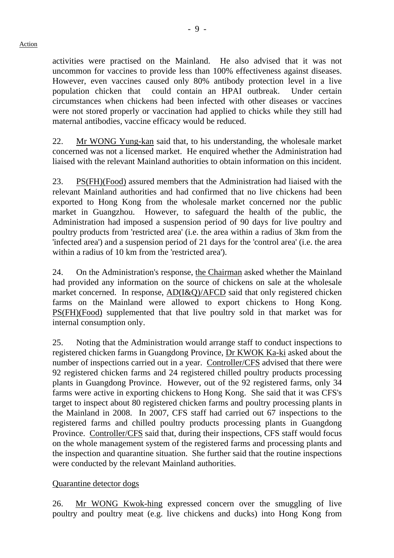activities were practised on the Mainland. He also advised that it was not uncommon for vaccines to provide less than 100% effectiveness against diseases. However, even vaccines caused only 80% antibody protection level in a live population chicken that could contain an HPAI outbreak. Under certain circumstances when chickens had been infected with other diseases or vaccines were not stored properly or vaccination had applied to chicks while they still had maternal antibodies, vaccine efficacy would be reduced.

22. Mr WONG Yung-kan said that, to his understanding, the wholesale market concerned was not a licensed market. He enquired whether the Administration had liaised with the relevant Mainland authorities to obtain information on this incident.

23. PS(FH)(Food) assured members that the Administration had liaised with the relevant Mainland authorities and had confirmed that no live chickens had been exported to Hong Kong from the wholesale market concerned nor the public market in Guangzhou. However, to safeguard the health of the public, the Administration had imposed a suspension period of 90 days for live poultry and poultry products from 'restricted area' (i.e. the area within a radius of 3km from the 'infected area') and a suspension period of 21 days for the 'control area' (i.e. the area within a radius of 10 km from the 'restricted area').

24. On the Administration's response, the Chairman asked whether the Mainland had provided any information on the source of chickens on sale at the wholesale market concerned. In response, AD(I&Q)/AFCD said that only registered chicken farms on the Mainland were allowed to export chickens to Hong Kong. PS(FH)(Food) supplemented that that live poultry sold in that market was for internal consumption only.

25. Noting that the Administration would arrange staff to conduct inspections to registered chicken farms in Guangdong Province, Dr KWOK Ka-ki asked about the number of inspections carried out in a year. Controller/CFS advised that there were 92 registered chicken farms and 24 registered chilled poultry products processing plants in Guangdong Province. However, out of the 92 registered farms, only 34 farms were active in exporting chickens to Hong Kong. She said that it was CFS's target to inspect about 80 registered chicken farms and poultry processing plants in the Mainland in 2008. In 2007, CFS staff had carried out 67 inspections to the registered farms and chilled poultry products processing plants in Guangdong Province. Controller/CFS said that, during their inspections, CFS staff would focus on the whole management system of the registered farms and processing plants and the inspection and quarantine situation. She further said that the routine inspections were conducted by the relevant Mainland authorities.

# Quarantine detector dogs

26. Mr WONG Kwok-hing expressed concern over the smuggling of live poultry and poultry meat (e.g. live chickens and ducks) into Hong Kong from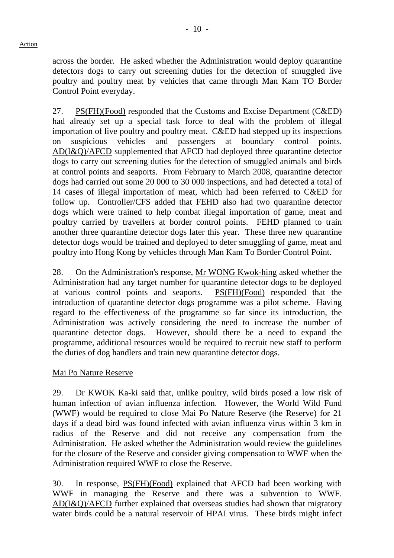across the border. He asked whether the Administration would deploy quarantine detectors dogs to carry out screening duties for the detection of smuggled live poultry and poultry meat by vehicles that came through Man Kam TO Border Control Point everyday.

27. PS(FH)(Food) responded that the Customs and Excise Department (C&ED) had already set up a special task force to deal with the problem of illegal importation of live poultry and poultry meat. C&ED had stepped up its inspections on suspicious vehicles and passengers at boundary control points. AD(I&Q)/AFCD supplemented that AFCD had deployed three quarantine detector dogs to carry out screening duties for the detection of smuggled animals and birds at control points and seaports. From February to March 2008, quarantine detector dogs had carried out some 20 000 to 30 000 inspections, and had detected a total of 14 cases of illegal importation of meat, which had been referred to C&ED for follow up. Controller/CFS added that FEHD also had two quarantine detector dogs which were trained to help combat illegal importation of game, meat and poultry carried by travellers at border control points. FEHD planned to train another three quarantine detector dogs later this year. These three new quarantine detector dogs would be trained and deployed to deter smuggling of game, meat and poultry into Hong Kong by vehicles through Man Kam To Border Control Point.

28. On the Administration's response, Mr WONG Kwok-hing asked whether the Administration had any target number for quarantine detector dogs to be deployed at various control points and seaports. PS(FH)(Food) responded that the introduction of quarantine detector dogs programme was a pilot scheme. Having regard to the effectiveness of the programme so far since its introduction, the Administration was actively considering the need to increase the number of quarantine detector dogs. However, should there be a need to expand the programme, additional resources would be required to recruit new staff to perform the duties of dog handlers and train new quarantine detector dogs.

# Mai Po Nature Reserve

29. Dr KWOK Ka-ki said that, unlike poultry, wild birds posed a low risk of human infection of avian influenza infection. However, the World Wild Fund (WWF) would be required to close Mai Po Nature Reserve (the Reserve) for 21 days if a dead bird was found infected with avian influenza virus within 3 km in radius of the Reserve and did not receive any compensation from the Administration. He asked whether the Administration would review the guidelines for the closure of the Reserve and consider giving compensation to WWF when the Administration required WWF to close the Reserve.

30. In response, PS(FH)(Food) explained that AFCD had been working with WWF in managing the Reserve and there was a subvention to WWF. AD(I&Q)/AFCD further explained that overseas studies had shown that migratory water birds could be a natural reservoir of HPAI virus. These birds might infect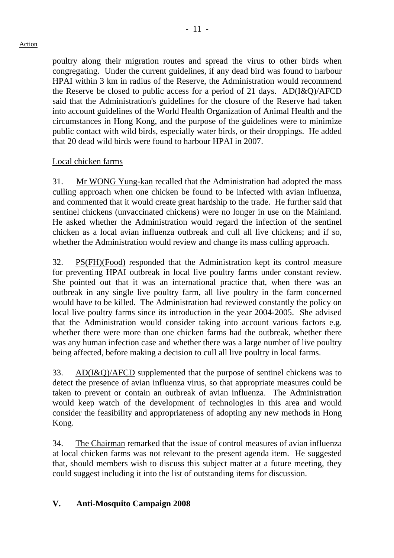#### Action

poultry along their migration routes and spread the virus to other birds when congregating. Under the current guidelines, if any dead bird was found to harbour HPAI within 3 km in radius of the Reserve, the Administration would recommend the Reserve be closed to public access for a period of 21 days. AD(I&Q)/AFCD said that the Administration's guidelines for the closure of the Reserve had taken into account guidelines of the World Health Organization of Animal Health and the circumstances in Hong Kong, and the purpose of the guidelines were to minimize public contact with wild birds, especially water birds, or their droppings. He added that 20 dead wild birds were found to harbour HPAI in 2007.

# Local chicken farms

31. Mr WONG Yung-kan recalled that the Administration had adopted the mass culling approach when one chicken be found to be infected with avian influenza, and commented that it would create great hardship to the trade. He further said that sentinel chickens (unvaccinated chickens) were no longer in use on the Mainland. He asked whether the Administration would regard the infection of the sentinel chicken as a local avian influenza outbreak and cull all live chickens; and if so, whether the Administration would review and change its mass culling approach.

32. PS(FH)(Food) responded that the Administration kept its control measure for preventing HPAI outbreak in local live poultry farms under constant review. She pointed out that it was an international practice that, when there was an outbreak in any single live poultry farm, all live poultry in the farm concerned would have to be killed. The Administration had reviewed constantly the policy on local live poultry farms since its introduction in the year 2004-2005. She advised that the Administration would consider taking into account various factors e.g. whether there were more than one chicken farms had the outbreak, whether there was any human infection case and whether there was a large number of live poultry being affected, before making a decision to cull all live poultry in local farms.

33. AD(I&Q)/AFCD supplemented that the purpose of sentinel chickens was to detect the presence of avian influenza virus, so that appropriate measures could be taken to prevent or contain an outbreak of avian influenza. The Administration would keep watch of the development of technologies in this area and would consider the feasibility and appropriateness of adopting any new methods in Hong Kong.

34. The Chairman remarked that the issue of control measures of avian influenza at local chicken farms was not relevant to the present agenda item. He suggested that, should members wish to discuss this subject matter at a future meeting, they could suggest including it into the list of outstanding items for discussion.

# **V. Anti-Mosquito Campaign 2008**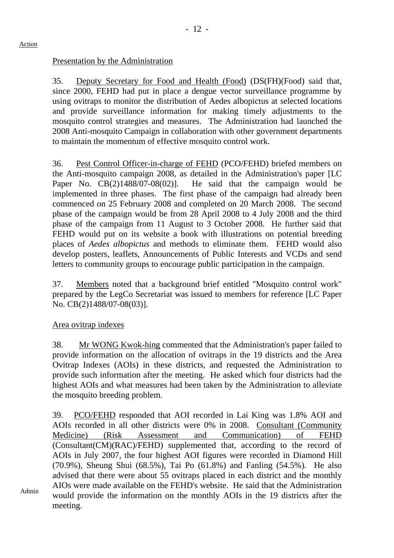# Presentation by the Administration

35. Deputy Secretary for Food and Health (Food) (DS(FH)(Food) said that, since 2000, FEHD had put in place a dengue vector surveillance programme by using ovitraps to monitor the distribution of Aedes albopictus at selected locations and provide surveillance information for making timely adjustments to the mosquito control strategies and measures. The Administration had launched the 2008 Anti-mosquito Campaign in collaboration with other government departments to maintain the momentum of effective mosquito control work.

36. Pest Control Officer-in-charge of FEHD (PCO/FEHD) briefed members on the Anti-mosquito campaign 2008, as detailed in the Administration's paper [LC Paper No. CB(2)1488/07-08(02)]. He said that the campaign would be implemented in three phases. The first phase of the campaign had already been commenced on 25 February 2008 and completed on 20 March 2008. The second phase of the campaign would be from 28 April 2008 to 4 July 2008 and the third phase of the campaign from 11 August to 3 October 2008. He further said that FEHD would put on its website a book with illustrations on potential breeding places of *Aedes albopictus* and methods to eliminate them. FEHD would also develop posters, leaflets, Announcements of Public Interests and VCDs and send letters to community groups to encourage public participation in the campaign.

37. Members noted that a background brief entitled "Mosquito control work" prepared by the LegCo Secretariat was issued to members for reference [LC Paper No. CB(2)1488/07-08(03)].

# Area ovitrap indexes

38. Mr WONG Kwok-hing commented that the Administration's paper failed to provide information on the allocation of ovitraps in the 19 districts and the Area Ovitrap Indexes (AOIs) in these districts, and requested the Administration to provide such information after the meeting. He asked which four districts had the highest AOIs and what measures had been taken by the Administration to alleviate the mosquito breeding problem.

39. PCO/FEHD responded that AOI recorded in Lai King was 1.8% AOI and AOIs recorded in all other districts were 0% in 2008. Consultant (Community Medicine) (Risk Assessment and Communication) of FEHD (Consultant(CM)(RAC)/FEHD) supplemented that, according to the record of AOIs in July 2007, the four highest AOI figures were recorded in Diamond Hill (70.9%), Sheung Shui (68.5%), Tai Po (61.8%) and Fanling (54.5%). He also advised that there were about 55 ovitraps placed in each district and the monthly AIOs were made available on the FEHD's website. He said that the Administration would provide the information on the monthly AOIs in the 19 districts after the meeting.

Admin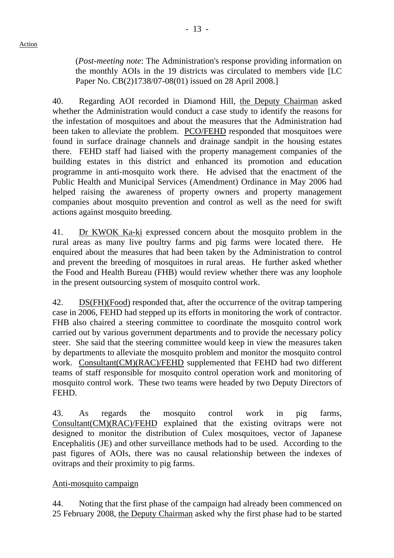(*Post-meeting note*: The Administration's response providing information on the monthly AOIs in the 19 districts was circulated to members vide [LC Paper No. CB(2)1738/07-08(01) issued on 28 April 2008.]

40. Regarding AOI recorded in Diamond Hill, the Deputy Chairman asked whether the Administration would conduct a case study to identify the reasons for the infestation of mosquitoes and about the measures that the Administration had been taken to alleviate the problem. PCO/FEHD responded that mosquitoes were found in surface drainage channels and drainage sandpit in the housing estates there. FEHD staff had liaised with the property management companies of the building estates in this district and enhanced its promotion and education programme in anti-mosquito work there. He advised that the enactment of the Public Health and Municipal Services (Amendment) Ordinance in May 2006 had helped raising the awareness of property owners and property management companies about mosquito prevention and control as well as the need for swift actions against mosquito breeding.

41. Dr KWOK Ka-ki expressed concern about the mosquito problem in the rural areas as many live poultry farms and pig farms were located there. He enquired about the measures that had been taken by the Administration to control and prevent the breeding of mosquitoes in rural areas. He further asked whether the Food and Health Bureau (FHB) would review whether there was any loophole in the present outsourcing system of mosquito control work.

42. DS(FH)(Food) responded that, after the occurrence of the ovitrap tampering case in 2006, FEHD had stepped up its efforts in monitoring the work of contractor. FHB also chaired a steering committee to coordinate the mosquito control work carried out by various government departments and to provide the necessary policy steer. She said that the steering committee would keep in view the measures taken by departments to alleviate the mosquito problem and monitor the mosquito control work. Consultant(CM)(RAC)/FEHD supplemented that FEHD had two different teams of staff responsible for mosquito control operation work and monitoring of mosquito control work. These two teams were headed by two Deputy Directors of FEHD.

43. As regards the mosquito control work in pig farms, Consultant(CM)(RAC)/FEHD explained that the existing ovitraps were not designed to monitor the distribution of Culex mosquitoes, vector of Japanese Encephalitis (JE) and other surveillance methods had to be used. According to the past figures of AOIs, there was no causal relationship between the indexes of ovitraps and their proximity to pig farms.

# Anti-mosquito campaign

44. Noting that the first phase of the campaign had already been commenced on 25 February 2008, the Deputy Chairman asked why the first phase had to be started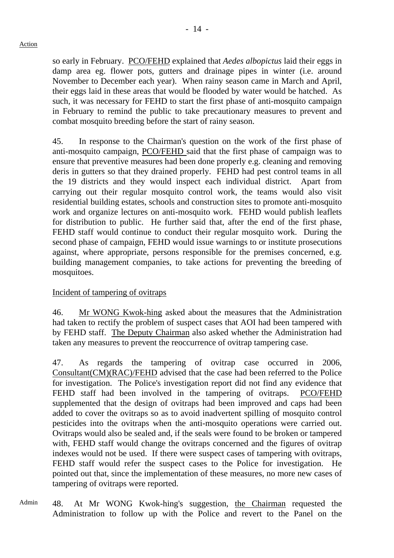so early in February. PCO/FEHD explained that *Aedes albopictus* laid their eggs in damp area eg. flower pots, gutters and drainage pipes in winter (i.e. around November to December each year). When rainy season came in March and April, their eggs laid in these areas that would be flooded by water would be hatched. As such, it was necessary for FEHD to start the first phase of anti-mosquito campaign in February to remind the public to take precautionary measures to prevent and combat mosquito breeding before the start of rainy season.

45. In response to the Chairman's question on the work of the first phase of anti-mosquito campaign, PCO/FEHD said that the first phase of campaign was to ensure that preventive measures had been done properly e.g. cleaning and removing deris in gutters so that they drained properly. FEHD had pest control teams in all the 19 districts and they would inspect each individual district. Apart from carrying out their regular mosquito control work, the teams would also visit residential building estates, schools and construction sites to promote anti-mosquito work and organize lectures on anti-mosquito work. FEHD would publish leaflets for distribution to public. He further said that, after the end of the first phase, FEHD staff would continue to conduct their regular mosquito work. During the second phase of campaign, FEHD would issue warnings to or institute prosecutions against, where appropriate, persons responsible for the premises concerned, e.g. building management companies, to take actions for preventing the breeding of mosquitoes.

# Incident of tampering of ovitraps

46. Mr WONG Kwok-hing asked about the measures that the Administration had taken to rectify the problem of suspect cases that AOI had been tampered with by FEHD staff. The Deputy Chairman also asked whether the Administration had taken any measures to prevent the reoccurrence of ovitrap tampering case.

47. As regards the tampering of ovitrap case occurred in 2006, Consultant(CM)(RAC)/FEHD advised that the case had been referred to the Police for investigation. The Police's investigation report did not find any evidence that FEHD staff had been involved in the tampering of ovitraps. PCO/FEHD supplemented that the design of ovitraps had been improved and caps had been added to cover the ovitraps so as to avoid inadvertent spilling of mosquito control pesticides into the ovitraps when the anti-mosquito operations were carried out. Ovitraps would also be sealed and, if the seals were found to be broken or tampered with, FEHD staff would change the ovitraps concerned and the figures of ovitrap indexes would not be used. If there were suspect cases of tampering with ovitraps, FEHD staff would refer the suspect cases to the Police for investigation. He pointed out that, since the implementation of these measures, no more new cases of tampering of ovitraps were reported.

Admin 48. At Mr WONG Kwok-hing's suggestion, the Chairman requested the Administration to follow up with the Police and revert to the Panel on the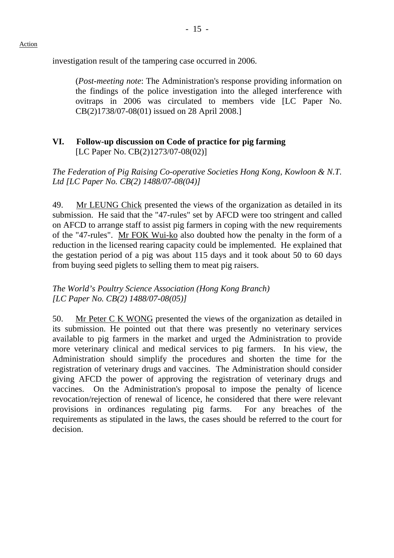investigation result of the tampering case occurred in 2006.

(*Post-meeting note*: The Administration's response providing information on the findings of the police investigation into the alleged interference with ovitraps in 2006 was circulated to members vide [LC Paper No. CB(2)1738/07-08(01) issued on 28 April 2008.]

# **VI. Follow-up discussion on Code of practice for pig farming**  [LC Paper No. CB(2)1273/07-08(02)]

*The Federation of Pig Raising Co-operative Societies Hong Kong, Kowloon & N.T. Ltd [LC Paper No. CB(2) 1488/07-08(04)]* 

49. Mr LEUNG Chick presented the views of the organization as detailed in its submission. He said that the "47-rules" set by AFCD were too stringent and called on AFCD to arrange staff to assist pig farmers in coping with the new requirements of the "47-rules". Mr FOK Wui-ko also doubted how the penalty in the form of a reduction in the licensed rearing capacity could be implemented. He explained that the gestation period of a pig was about 115 days and it took about 50 to 60 days from buying seed piglets to selling them to meat pig raisers.

# *The World's Poultry Science Association (Hong Kong Branch) [LC Paper No. CB(2) 1488/07-08(05)]*

50. Mr Peter C K WONG presented the views of the organization as detailed in its submission. He pointed out that there was presently no veterinary services available to pig farmers in the market and urged the Administration to provide more veterinary clinical and medical services to pig farmers. In his view, the Administration should simplify the procedures and shorten the time for the registration of veterinary drugs and vaccines. The Administration should consider giving AFCD the power of approving the registration of veterinary drugs and vaccines. On the Administration's proposal to impose the penalty of licence revocation/rejection of renewal of licence, he considered that there were relevant provisions in ordinances regulating pig farms. For any breaches of the requirements as stipulated in the laws, the cases should be referred to the court for decision.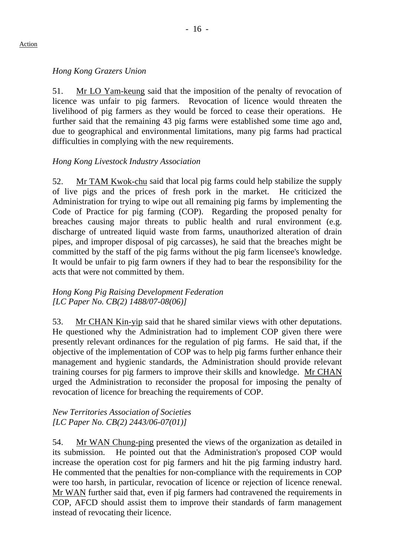# *Hong Kong Grazers Union*

51. Mr LO Yam-keung said that the imposition of the penalty of revocation of licence was unfair to pig farmers. Revocation of licence would threaten the livelihood of pig farmers as they would be forced to cease their operations. He further said that the remaining 43 pig farms were established some time ago and, due to geographical and environmental limitations, many pig farms had practical difficulties in complying with the new requirements.

# *Hong Kong Livestock Industry Association*

52. Mr TAM Kwok-chu said that local pig farms could help stabilize the supply of live pigs and the prices of fresh pork in the market. He criticized the Administration for trying to wipe out all remaining pig farms by implementing the Code of Practice for pig farming (COP). Regarding the proposed penalty for breaches causing major threats to public health and rural environment (e.g. discharge of untreated liquid waste from farms, unauthorized alteration of drain pipes, and improper disposal of pig carcasses), he said that the breaches might be committed by the staff of the pig farms without the pig farm licensee's knowledge. It would be unfair to pig farm owners if they had to bear the responsibility for the acts that were not committed by them.

#### *Hong Kong Pig Raising Development Federation [LC Paper No. CB(2) 1488/07-08(06)]*

53. Mr CHAN Kin-yip said that he shared similar views with other deputations. He questioned why the Administration had to implement COP given there were presently relevant ordinances for the regulation of pig farms. He said that, if the objective of the implementation of COP was to help pig farms further enhance their management and hygienic standards, the Administration should provide relevant training courses for pig farmers to improve their skills and knowledge. Mr CHAN urged the Administration to reconsider the proposal for imposing the penalty of revocation of licence for breaching the requirements of COP.

# *New Territories Association of Societies [LC Paper No. CB(2) 2443/06-07(01)]*

54. Mr WAN Chung-ping presented the views of the organization as detailed in its submission. He pointed out that the Administration's proposed COP would increase the operation cost for pig farmers and hit the pig farming industry hard. He commented that the penalties for non-compliance with the requirements in COP were too harsh, in particular, revocation of licence or rejection of licence renewal. Mr WAN further said that, even if pig farmers had contravened the requirements in COP, AFCD should assist them to improve their standards of farm management instead of revocating their licence.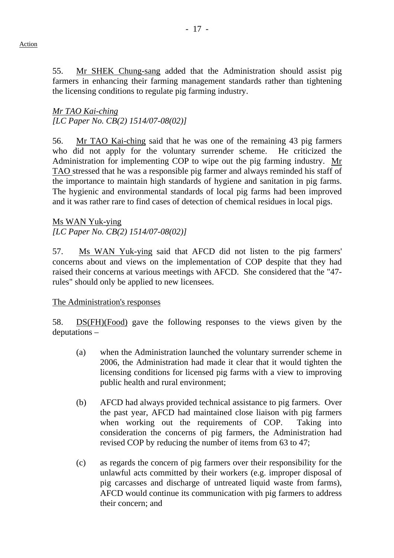55. Mr SHEK Chung-sang added that the Administration should assist pig farmers in enhancing their farming management standards rather than tightening

the licensing conditions to regulate pig farming industry.

*Mr TAO Kai-ching [LC Paper No. CB(2) 1514/07-08(02)]* 

56. Mr TAO Kai-ching said that he was one of the remaining 43 pig farmers who did not apply for the voluntary surrender scheme. He criticized the Administration for implementing COP to wipe out the pig farming industry. Mr TAO stressed that he was a responsible pig farmer and always reminded his staff of the importance to maintain high standards of hygiene and sanitation in pig farms. The hygienic and environmental standards of local pig farms had been improved and it was rather rare to find cases of detection of chemical residues in local pigs.

Ms WAN Yuk-ying *[LC Paper No. CB(2) 1514/07-08(02)]* 

57. Ms WAN Yuk-ying said that AFCD did not listen to the pig farmers' concerns about and views on the implementation of COP despite that they had raised their concerns at various meetings with AFCD. She considered that the "47 rules" should only be applied to new licensees.

The Administration's responses

58. DS(FH)(Food) gave the following responses to the views given by the deputations –

- (a) when the Administration launched the voluntary surrender scheme in 2006, the Administration had made it clear that it would tighten the licensing conditions for licensed pig farms with a view to improving public health and rural environment;
- (b) AFCD had always provided technical assistance to pig farmers. Over the past year, AFCD had maintained close liaison with pig farmers when working out the requirements of COP. Taking into consideration the concerns of pig farmers, the Administration had revised COP by reducing the number of items from 63 to 47;
- (c) as regards the concern of pig farmers over their responsibility for the unlawful acts committed by their workers (e.g. improper disposal of pig carcasses and discharge of untreated liquid waste from farms), AFCD would continue its communication with pig farmers to address their concern; and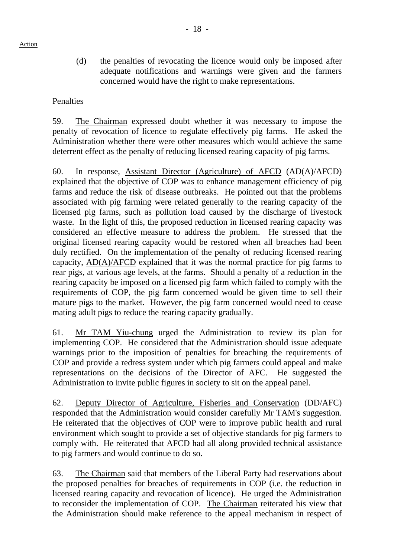(d) the penalties of revocating the licence would only be imposed after adequate notifications and warnings were given and the farmers concerned would have the right to make representations.

# Penalties

59. The Chairman expressed doubt whether it was necessary to impose the penalty of revocation of licence to regulate effectively pig farms. He asked the Administration whether there were other measures which would achieve the same deterrent effect as the penalty of reducing licensed rearing capacity of pig farms.

60. In response, Assistant Director (Agriculture) of AFCD (AD(A)/AFCD) explained that the objective of COP was to enhance management efficiency of pig farms and reduce the risk of disease outbreaks. He pointed out that the problems associated with pig farming were related generally to the rearing capacity of the licensed pig farms, such as pollution load caused by the discharge of livestock waste. In the light of this, the proposed reduction in licensed rearing capacity was considered an effective measure to address the problem. He stressed that the original licensed rearing capacity would be restored when all breaches had been duly rectified. On the implementation of the penalty of reducing licensed rearing capacity, AD(A)/AFCD explained that it was the normal practice for pig farms to rear pigs, at various age levels, at the farms. Should a penalty of a reduction in the rearing capacity be imposed on a licensed pig farm which failed to comply with the requirements of COP, the pig farm concerned would be given time to sell their mature pigs to the market. However, the pig farm concerned would need to cease mating adult pigs to reduce the rearing capacity gradually.

61. Mr TAM Yiu-chung urged the Administration to review its plan for implementing COP. He considered that the Administration should issue adequate warnings prior to the imposition of penalties for breaching the requirements of COP and provide a redress system under which pig farmers could appeal and make representations on the decisions of the Director of AFC. He suggested the Administration to invite public figures in society to sit on the appeal panel.

62. Deputy Director of Agriculture, Fisheries and Conservation (DD/AFC) responded that the Administration would consider carefully Mr TAM's suggestion. He reiterated that the objectives of COP were to improve public health and rural environment which sought to provide a set of objective standards for pig farmers to comply with. He reiterated that AFCD had all along provided technical assistance to pig farmers and would continue to do so.

63. The Chairman said that members of the Liberal Party had reservations about the proposed penalties for breaches of requirements in COP (i.e. the reduction in licensed rearing capacity and revocation of licence). He urged the Administration to reconsider the implementation of COP. The Chairman reiterated his view that the Administration should make reference to the appeal mechanism in respect of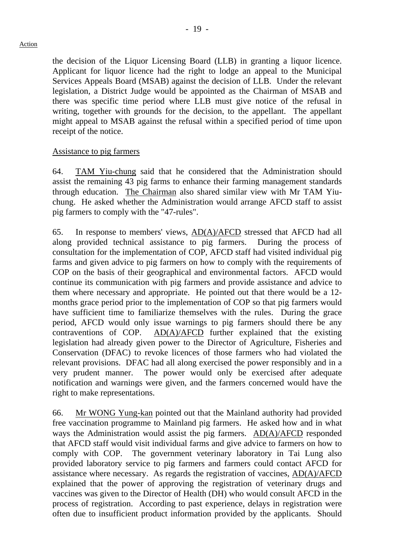the decision of the Liquor Licensing Board (LLB) in granting a liquor licence. Applicant for liquor licence had the right to lodge an appeal to the Municipal Services Appeals Board (MSAB) against the decision of LLB. Under the relevant legislation, a District Judge would be appointed as the Chairman of MSAB and there was specific time period where LLB must give notice of the refusal in writing, together with grounds for the decision, to the appellant. The appellant might appeal to MSAB against the refusal within a specified period of time upon receipt of the notice.

#### Assistance to pig farmers

64. TAM Yiu-chung said that he considered that the Administration should assist the remaining 43 pig farms to enhance their farming management standards through education. The Chairman also shared similar view with Mr TAM Yiuchung. He asked whether the Administration would arrange AFCD staff to assist pig farmers to comply with the "47-rules".

65. In response to members' views, AD(A)/AFCD stressed that AFCD had all along provided technical assistance to pig farmers. During the process of consultation for the implementation of COP, AFCD staff had visited individual pig farms and given advice to pig farmers on how to comply with the requirements of COP on the basis of their geographical and environmental factors. AFCD would continue its communication with pig farmers and provide assistance and advice to them where necessary and appropriate. He pointed out that there would be a 12 months grace period prior to the implementation of COP so that pig farmers would have sufficient time to familiarize themselves with the rules. During the grace period, AFCD would only issue warnings to pig farmers should there be any contraventions of COP. AD(A)/AFCD further explained that the existing legislation had already given power to the Director of Agriculture, Fisheries and Conservation (DFAC) to revoke licences of those farmers who had violated the relevant provisions. DFAC had all along exercised the power responsibly and in a very prudent manner. The power would only be exercised after adequate notification and warnings were given, and the farmers concerned would have the right to make representations.

66. Mr WONG Yung-kan pointed out that the Mainland authority had provided free vaccination programme to Mainland pig farmers. He asked how and in what ways the Administration would assist the pig farmers. AD(A)/AFCD responded that AFCD staff would visit individual farms and give advice to farmers on how to comply with COP. The government veterinary laboratory in Tai Lung also provided laboratory service to pig farmers and farmers could contact AFCD for assistance where necessary. As regards the registration of vaccines, AD(A)/AFCD explained that the power of approving the registration of veterinary drugs and vaccines was given to the Director of Health (DH) who would consult AFCD in the process of registration. According to past experience, delays in registration were often due to insufficient product information provided by the applicants. Should